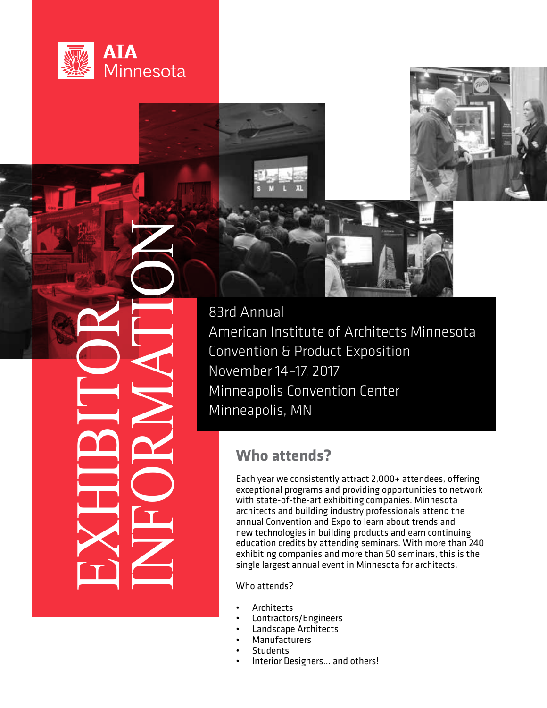

EXHIBITOR



Bard Annual<br>
American Ins<br>
Convention &<br>
November 14<br>
Minneapolis,<br>
Minneapolis,<br>
Who att<br>
exceptional provided and Convention of<br>
exceptional Conventions<br>
exceptional converse and conventions<br>
exceptional Conventions<br>
exc American Institute of Architects Minnesota Convention & Product Exposition November 14–17, 2017 Minneapolis Convention Center Minneapolis, MN

# **Who attends?**

Each year we consistently attract 2,000+ attendees, offering exceptional programs and providing opportunities to network with state-of-the-art exhibiting companies. Minnesota architects and building industry professionals attend the annual Convention and Expo to learn about trends and new technologies in building products and earn continuing education credits by attending seminars. With more than 240 exhibiting companies and more than 50 seminars, this is the single largest annual event in Minnesota for architects.

Who attends?

- **Architects**
- Contractors/Engineers
- Landscape Architects
- **Manufacturers**
- **Students**
- Interior Designers... and others!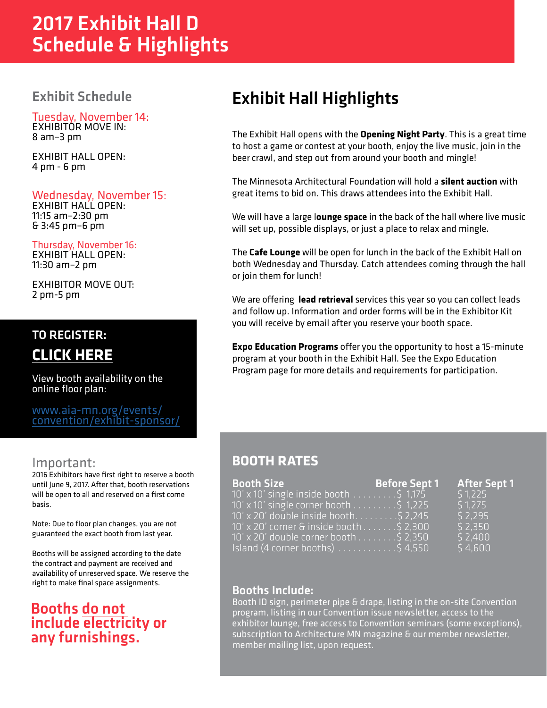# 2017 Exhibit Hall D Schedule & Highlights

# Exhibit Schedule

Tuesday, November 14: EXHIBITOR MOVE IN: 8 am–3 pm

EXHIBIT HALL OPEN: 4 pm - 6 pm

# Wednesday, November 15:

EXHIBIT HALL OPEN: 11:15 am–2:30 pm & 3:45 pm–6 pm

Thursday, November 16: EXHIBIT HALL OPEN: 11:30 am–2 pm

EXHIBITOR MOVE OUT: 2 pm-5 pm

# TO REGISTER:

**[CLICK HERE](https://www.aia-mn.org/misc-event/exhibit-space-reservation/)**

View booth availability on the online floor plan:

www.aia-mn.org/events/ [convention/exhibit-sponsor/](https://www.aia-mn.org/misc-event/exhibit-space-reservation/)

# Important:

2016 Exhibitors have first right to reserve a booth until June 9, 2017. After that, booth reservations will be open to all and reserved on a first come basis.

Note: Due to floor plan changes, you are not guaranteed the exact booth from last year.

Booths will be assigned according to the date the contract and payment are received and availability of unreserved space. We reserve the right to make final space assignments.

# Booths do not include electricity or any furnishings.

# Exhibit Hall Highlights

The Exhibit Hall opens with the **Opening Night Party**. This is a great time to host a game or contest at your booth, enjoy the live music, join in the beer crawl, and step out from around your booth and mingle!

The Minnesota Architectural Foundation will hold a **silent auction** with great items to bid on. This draws attendees into the Exhibit Hall.

We will have a large l**ounge space** in the back of the hall where live music will set up, possible displays, or just a place to relax and mingle.

The **Cafe Lounge** will be open for lunch in the back of the Exhibit Hall on both Wednesday and Thursday. Catch attendees coming through the hall or join them for lunch!

We are offering **lead retrieval** services this year so you can collect leads and follow up. Information and order forms will be in the Exhibitor Kit you will receive by email after you reserve your booth space.

**Expo Education Programs** offer you the opportunity to host a 15-minute program at your booth in the Exhibit Hall. See the Expo Education Program page for more details and requirements for participation.

# **BOOTH RATES**

| <b>Booth Size</b>                                       | <b>Before Sept 1</b> | <b>After Sept 1</b> |
|---------------------------------------------------------|----------------------|---------------------|
| $10' \times 10'$ single inside booth \$ 1,175           |                      | 51.225              |
| 10' x 10' single corner booth \$ 1,225                  |                      | 51.275              |
| 10' x 20' double inside booth. 5 2,245                  |                      | \$2,295             |
| 10' x 20' corner & inside booth \$ 2,300                |                      | \$2,350             |
| $10'$ x 20' double corner booth 5 2,350                 |                      | \$2,400             |
| Island (4 corner booths) $\ldots \ldots \ldots$ \$4,550 |                      | \$4,600             |

# Booths Include:

Booth ID sign, perimeter pipe & drape, listing in the on-site Convention program, listing in our Convention issue newsletter, access to the exhibitor lounge, free access to Convention seminars (some exceptions), subscription to Architecture MN magazine & our member newsletter, member mailing list, upon request.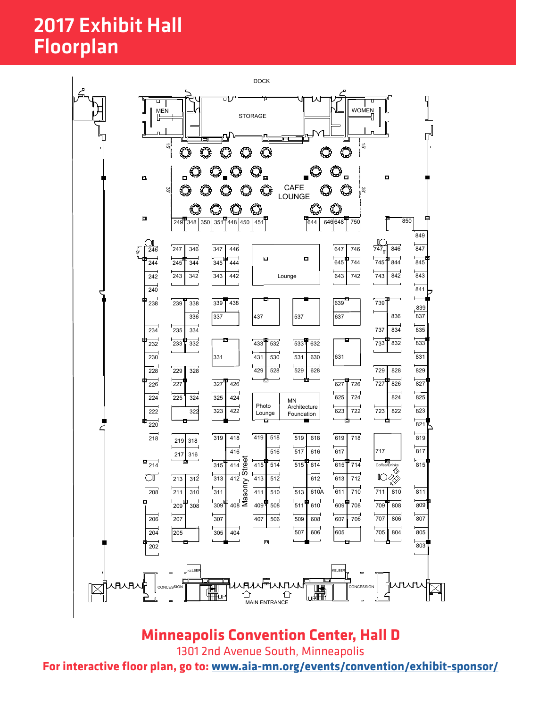# **AIA MN 2016** 2017 Exhibit Hall Floorplan



2110 Old Hwy 8 NW New Brighton, MN 55112 Phone: 651-917-2632 Fax: 651-917-2632 Fax: 651-917-2632 Fax: 651-917-2658 Web: www.hubbelltyner.com

# **Minneapolis Convention Center, Hall D**

1301 2nd Avenue South, Minneapolis

**For interactive floor plan, go to[: www.aia-mn.org/events/convention/exhibit-sponsor/](https://www.aia-mn.org/misc-event/exhibit-space-reservation/)**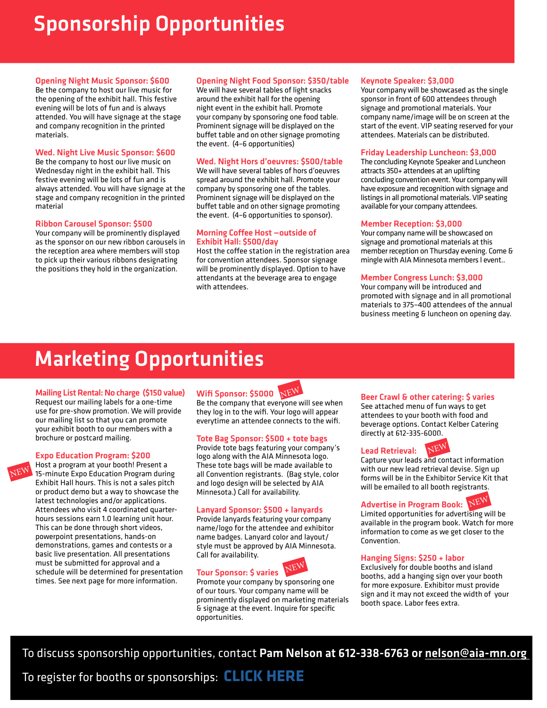# Sponsorship Opportunities

### Opening Night Music Sponsor: \$600

Be the company to host our live music for the opening of the exhibit hall. This festive evening will be lots of fun and is always attended. You will have signage at the stage and company recognition in the printed materials.

## Wed. Night Live Music Sponsor: \$600

Be the company to host our live music on Wednesday night in the exhibit hall. This festive evening will be lots of fun and is always attended. You will have signage at the stage and company recognition in the printed material

### Ribbon Carousel Sponsor: \$500

Your company will be prominently displayed as the sponsor on our new ribbon carousels in the reception area where members will stop to pick up their various ribbons designating the positions they hold in the organization.

### Opening Night Food Sponsor: \$350/table

We will have several tables of light snacks around the exhibit hall for the opening night event in the exhibit hall. Promote your company by sponsoring one food table. Prominent signage will be displayed on the buffet table and on other signage promoting the event. (4–6 opportunities)

### Wed. Night Hors d'oeuvres: \$500/table

We will have several tables of hors d'oeuvres spread around the exhibit hall. Promote your company by sponsoring one of the tables. Prominent signage will be displayed on the buffet table and on other signage promoting the event. (4–6 opportunities to sponsor).

### Morning Coffee Host —outside of Exhibit Hall: \$500/day

Host the coffee station in the registration area for convention attendees. Sponsor signage will be prominently displayed. Option to have attendants at the beverage area to engage with attendees.

### Keynote Speaker: \$3,000

Your company will be showcased as the single sponsor in front of 600 attendees through signage and promotional materials. Your company name/image will be on screen at the start of the event. VIP seating reserved for your attendees. Materials can be distributed.

### Friday Leadership Luncheon: \$3,000

The concluding Keynote Speaker and Luncheon attracts 350+ attendees at an uplifting concluding convention event. Your company will have exposure and recognition with signage and listings in all promotional materials. VIP seating available for your company attendees.

### Member Reception: \$3,000

Your company name will be showcased on signage and promotional materials at this member reception on Thursday evening. Come & mingle with AIA Minnesota members l event..

### Member Congress Lunch: \$3,000

Your company will be introduced and promoted with signage and in all promotional materials to 375–400 attendees of the annual business meeting & luncheon on opening day.

# Marketing Opportunities

### Mailing List Rental: No charge (\$150 value)

Request our mailing labels for a one-time use for pre-show promotion. We will provide our mailing list so that you can promote your exhibit booth to our members with a brochure or postcard mailing.

### **Expo Education Program: \$200**

Host a program at your booth! Present a 15-minute Expo Education Program during Exhibit Hall hours. This is not a sales pitch or product demo but a way to showcase the latest technologies and/or applications. Attendees who visit 4 coordinated quarterhours sessions earn 1.0 learning unit hour. This can be done through short videos, powerpoint presentations, hands-on demonstrations, games and contests or a basic live presentation. All presentations must be submitted for approval and a schedule will be determined for presentation times. See next page for more information. NEW



Be the company that everyone will see when they log in to the wifi. Your logo will appear everytime an attendee connects to the wifi.

### Tote Bag Sponsor: \$500 + tote bags

Provide tote bags featuring your company's logo along with the AIA Minnesota logo. These tote bags will be made available to all Convention registrants. (Bag style, color and logo design will be selected by AIA Minnesota.) Call for availability.

### Lanyard Sponsor: \$500 + lanyards

Provide lanyards featuring your company name/logo for the attendee and exhibitor name badges. Lanyard color and layout/ style must be approved by AIA Minnesota. Call for availability.  $-12N$ 

## Tour Sponsor: \$ varies

Promote your company by sponsoring one of our tours. Your company name will be prominently displayed on marketing materials & signage at the event. Inquire for specific opportunities.

NEW

### Beer Crawl & other catering: \$ varies

See attached menu of fun ways to get attendees to your booth with food and beverage options. Contact Kelber Catering directly at 612-335-6000.



# NEW

Capture your leads and contact information with our new lead retrieval devise. Sign up forms will be in the Exhibitor Service Kit that will be emailed to all booth registrants.

# Advertise in Program Book:  $\overline{\text{N}\text{EW}}$

Limited opportunities for advertising will be available in the program book. Watch for more information to come as we get closer to the Convention.

### Hanging Signs: \$250 + labor

Exclusively for double booths and island booths, add a hanging sign over your booth for more exposure. Exhibitor must provide sign and it may not exceed the width of your booth space. Labor fees extra.

To discuss sponsorship opportunities, contact Pam Nelson at 612-338-6763 or nelson@aia-mn.org

To register for booths or sponsorships: **[CLICK HERE](https://www.aia-mn.org/misc-event/exhibit-space-reservation/)**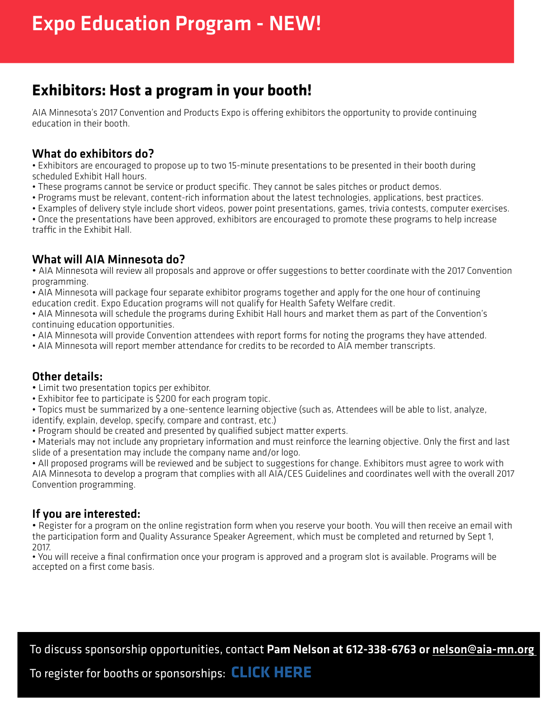# **Exhibitors: Host a program in your booth!**

AIA Minnesota's 2017 Convention and Products Expo is offering exhibitors the opportunity to provide continuing education in their booth.

# What do exhibitors do?

• Exhibitors are encouraged to propose up to two 15-minute presentations to be presented in their booth during scheduled Exhibit Hall hours.

- These programs cannot be service or product specific. They cannot be sales pitches or product demos.
- Programs must be relevant, content-rich information about the latest technologies, applications, best practices.
- Examples of delivery style include short videos, power point presentations, games, trivia contests, computer exercises.
- Once the presentations have been approved, exhibitors are encouraged to promote these programs to help increase traffic in the Exhibit Hall.

# What will AIA Minnesota do?

• AIA Minnesota will review all proposals and approve or offer suggestions to better coordinate with the 2017 Convention programming.

• AIA Minnesota will package four separate exhibitor programs together and apply for the one hour of continuing education credit. Expo Education programs will not qualify for Health Safety Welfare credit.

• AIA Minnesota will schedule the programs during Exhibit Hall hours and market them as part of the Convention's continuing education opportunities.

- AIA Minnesota will provide Convention attendees with report forms for noting the programs they have attended.
- AIA Minnesota will report member attendance for credits to be recorded to AIA member transcripts.

# Other details:

- Limit two presentation topics per exhibitor.
- Exhibitor fee to participate is \$200 for each program topic.
- Topics must be summarized by a one-sentence learning objective (such as, Attendees will be able to list, analyze,

identify, explain, develop, specify, compare and contrast, etc.)

• Program should be created and presented by qualified subject matter experts.

• Materials may not include any proprietary information and must reinforce the learning objective. Only the first and last slide of a presentation may include the company name and/or logo.

• All proposed programs will be reviewed and be subject to suggestions for change. Exhibitors must agree to work with AIA Minnesota to develop a program that complies with all AIA/CES Guidelines and coordinates well with the overall 2017 Convention programming.

# If you are interested:

• Register for a program on the online registration form when you reserve your booth. You will then receive an email with the participation form and Quality Assurance Speaker Agreement, which must be completed and returned by Sept 1, 2017.

• You will receive a final confirmation once your program is approved and a program slot is available. Programs will be accepted on a first come basis.

To discuss sponsorship opportunities, contact Pam Nelson at 612-338-6763 or nelson@aia-mn.org

To register for booths or sponsorships: **[CLICK HERE](https://www.aia-mn.org/misc-event/exhibit-space-reservation/)**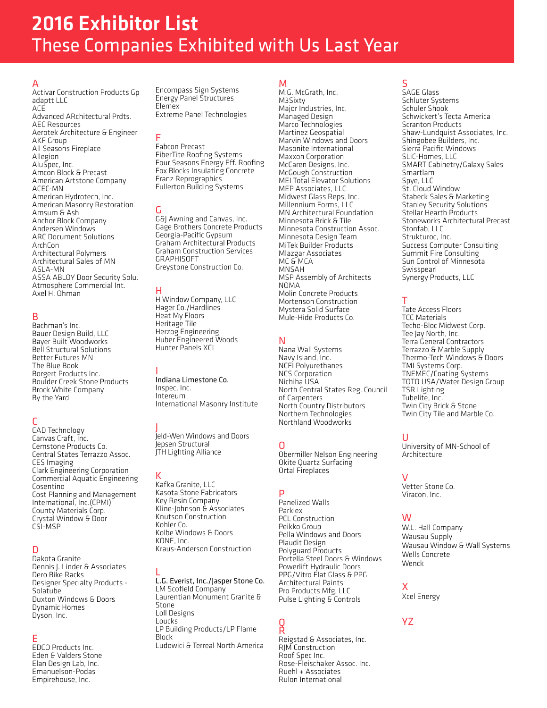# 2016 Exhibitor List These Companies Exhibited with Us Last Year

A Activar Construction Products Gp adaptt LLC ACE Advanced ARchitectural Prdts. AEC Resources Aerotek Architecture & Engineer AKF Group All Seasons Fireplace Allegion AluSpec, Inc. Amcon Block & Precast American Artstone Company ACEC-MN<br>American Hydrotech, Inc. American Masonry Restoration Amsum & Ash Anchor Block Company Andersen Windows ARC Document Solutions ArchCon Architectural Polymers Architectural Sales of MN ASLA-MN ASSA ABLOY Door Security Solu. Atmosphere Commercial Int. Axel H. Ohman

# B

Bachman's Inc. Bauer Design Build, LLC Bayer Built Woodworks Bell Structural Solutions Better Futures MN The Blue Book Borgert Products Inc. Boulder Creek Stone Products Brock White Company By the Yard

# C

CAD Technology Canvas Craft, Inc. Cemstone Products Co. Central States Terrazzo Assoc. CES Imaging Clark Engineering Corporation Commercial Aquatic Engineering Cosentino Cost Planning and Management International, Inc.(CPMI) County Materials Corp. Crystal Window & Door CSI-MSP

# D

Dakota Granite Dennis J. Linder & Associates Dero Bike Racks Designer Specialty Products - Solatube Duxton Windows & Doors Dynamic Homes Dyson, Inc.

## E

EDCO Products Inc. Eden & Valders Stone Elan Design Lab, Inc. Emanuelson-Podas Empirehouse, Inc.

Encompass Sign Systems Energy Panel Structures Elemex Extreme Panel Technologies

# F

Fabcon Precast FiberTite Roofing Systems Four Seasons Energy Eff. Roofing Fox Blocks Insulating Concrete Franz Reprographics Fullerton Building Systems

G<br>G&J Awning and Canvas, Inc. Gage Brothers Concrete Products Georgia-Pacific Gypsum Graham Architectural Products Graham Construction Services **GRAPHISOFT** Greystone Construction Co.

## H

H Window Company, LLC Hager Co./Hardlines Heat My Floors Heritage Tile Herzog Engineering Huber Engineered Woods Hunter Panels XCI

# I

Indiana Limestone Co. Inspec, Inc. Intereum International Masonry Institute

J Jeld-Wen Windows and Doors Jepsen Structural JTH Lighting Alliance

# K

Kafka Granite, LLC Kasota Stone Fabricators Key Resin Company Kline-Johnson & Associates Knutson Construction Kohler Co. Kolbe Windows & Doors KONE, Inc. Kraus-Anderson Construction

L L.G. Everist, Inc./Jasper Stone Co. LM Scofield Company Laurentian Monument Granite & Stone Loll Designs Loucks LP Building Products/LP Flame Block Ludowici & Terreal North America

# M

M.G. McGrath, Inc. M3Sixty Major Industries, Inc. Managed Design Marco Technologies Martinez Geospatial Marvin Windows and Doors Masonite International Maxxon Corporation McCaren Designs, Inc. McGough Construction MEI Total Elevator Solutions MEP Associates, LLC Midwest Glass Reps, Inc. Millennium Forms, LLC MN Architectural Foundation Minnesota Brick & Tile Minnesota Construction Assoc. Minnesota Design Team MiTek Builder Products Mlazgar Associates MC & MCA MNSAH MSP Assembly of Architects NOMA Molin Concrete Products Mortenson Construction Mystera Solid Surface Mule-Hide Products Co.

# N

Nana Wall Systems Navy Island, Inc. NCFI Polyurethanes NCS Corporation Nichiha USA North Central States Reg. Council of Carpenters North Country Distributors Northern Technologies Northland Woodworks

# O

Obermiller Nelson Engineering Okite Quartz Surfacing Ortal Fireplaces

# P

Panelized Walls Parklex PCL Construction Peikko Group Pella Windows and Doors Plaudit Design Polyguard Products Portella Steel Doors & Windows Powerlift Hydraulic Doors PPG/Vitro Flat Glass & PPG Architectural Paints Pro Products Mfg, LLC Pulse Lighting & Controls

### Q R

Reigstad & Associates, Inc. RJM Construction Roof Spec Inc. Rose-Fleischaker Assoc. Inc. Ruehl + Associates Rulon International

# S

SAGE Glass Schluter Systems Schuler Shook Schwickert's Tecta America Scranton Products Shaw-Lundquist Associates, Inc. Shingobee Builders, Inc. Sierra Pacific Windows SLiC-Homes, LLC SMART Cabinetry/Galaxy Sales Smartlam Spye, LLC St. Cloud Window Stabeck Sales & Marketing Stanley Security Solutions Stellar Hearth Products Stoneworks Architectural Precast Stonfab, LLC Strukturoc, Inc.<br>Success Computer Consulting Summit Fire Consulting Sun Control of Minnesota Swisspearl Synergy Products, LLC

## T

Tate Access Floors TCC Materials Techo-Bloc Midwest Corp. Tee Jay North, Inc. Terra General Contractors Terrazzo & Marble Supply Thermo-Tech Windows & Doors TMI Systems Corp. TNEMEC/Coating Systems TOTO USA/Water Design Group TSR Lighting Tubelite, Inc. Twin City Brick & Stone Twin City Tile and Marble Co.

## U

University of MN-School of Architecture

## V

Vetter Stone Co. Viracon, Inc.

## W

W.L. Hall Company Wausau Supply Wausau Window & Wall Systems Wells Concrete Wenck

# X

Xcel Energy

## **Y7**